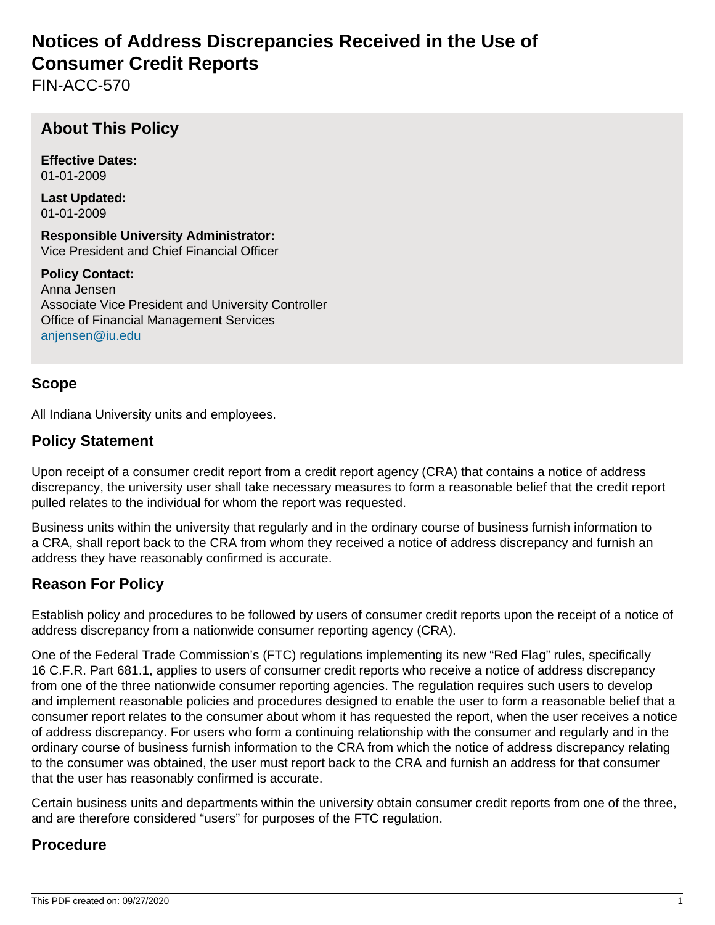# **Notices of Address Discrepancies Received in the Use of Consumer Credit Reports**

FIN-ACC-570

## **About This Policy**

**Effective Dates:** 01-01-2009

**Last Updated:** 01-01-2009

**Responsible University Administrator:** Vice President and Chief Financial Officer

**Policy Contact:** Anna Jensen Associate Vice President and University Controller Office of Financial Management Services [anjensen@iu.edu](mailto:anjensen@iu.edu)

### **Scope**

All Indiana University units and employees.

#### **Policy Statement**

Upon receipt of a consumer credit report from a credit report agency (CRA) that contains a notice of address discrepancy, the university user shall take necessary measures to form a reasonable belief that the credit report pulled relates to the individual for whom the report was requested.

Business units within the university that regularly and in the ordinary course of business furnish information to a CRA, shall report back to the CRA from whom they received a notice of address discrepancy and furnish an address they have reasonably confirmed is accurate.

#### **Reason For Policy**

Establish policy and procedures to be followed by users of consumer credit reports upon the receipt of a notice of address discrepancy from a nationwide consumer reporting agency (CRA).

One of the Federal Trade Commission's (FTC) regulations implementing its new "Red Flag" rules, specifically 16 C.F.R. Part 681.1, applies to users of consumer credit reports who receive a notice of address discrepancy from one of the three nationwide consumer reporting agencies. The regulation requires such users to develop and implement reasonable policies and procedures designed to enable the user to form a reasonable belief that a consumer report relates to the consumer about whom it has requested the report, when the user receives a notice of address discrepancy. For users who form a continuing relationship with the consumer and regularly and in the ordinary course of business furnish information to the CRA from which the notice of address discrepancy relating to the consumer was obtained, the user must report back to the CRA and furnish an address for that consumer that the user has reasonably confirmed is accurate.

Certain business units and departments within the university obtain consumer credit reports from one of the three, and are therefore considered "users" for purposes of the FTC regulation.

#### **Procedure**